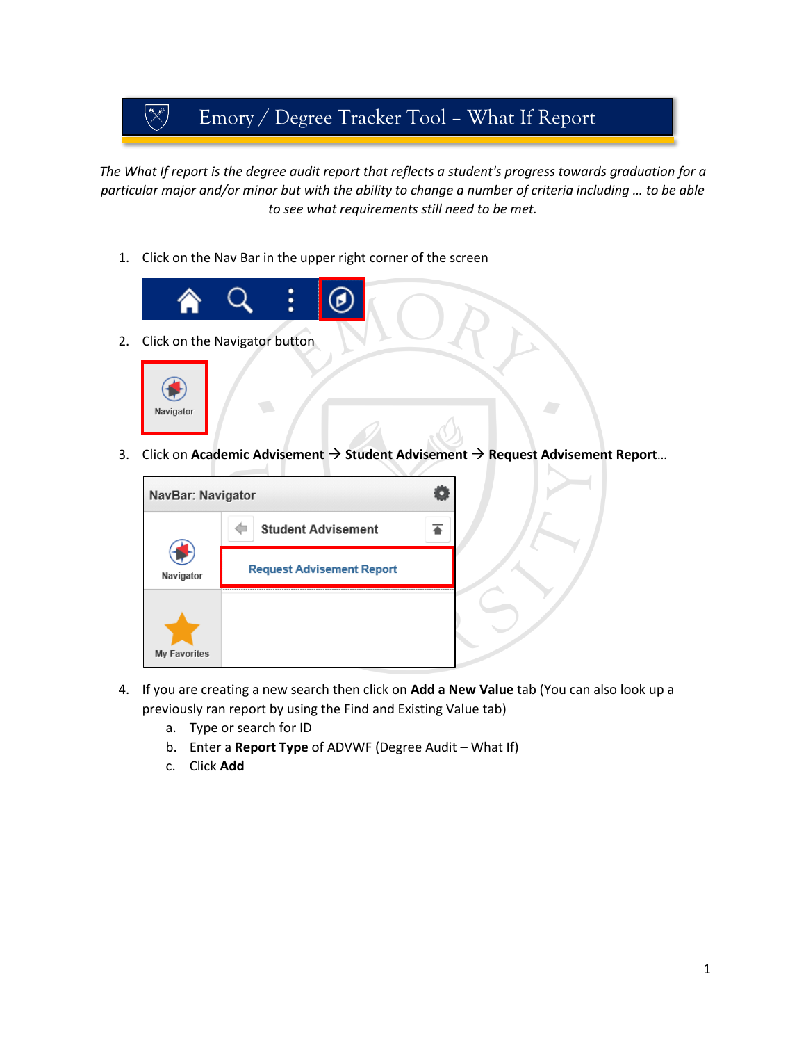## $\begin{pmatrix} \mathbb{R}^3 \ \mathbb{R}^3 \end{pmatrix}$ Emory / Degree Tracker Tool – What If Report

*The What If report is the degree audit report that reflects a student's progress towards graduation for a particular major and/or minor but with the ability to change a number of criteria including … to be able to see what requirements still need to be met.*

1. Click on the Nav Bar in the upper right corner of the screen



3. Click on **Academic Advisement Student Advisement Request Advisement Report**…



- 4. If you are creating a new search then click on **Add a New Value** tab (You can also look up a previously ran report by using the Find and Existing Value tab)
	- a. Type or search for ID
	- b. Enter a **Report Type** of ADVWF (Degree Audit What If)
	- c. Click **Add**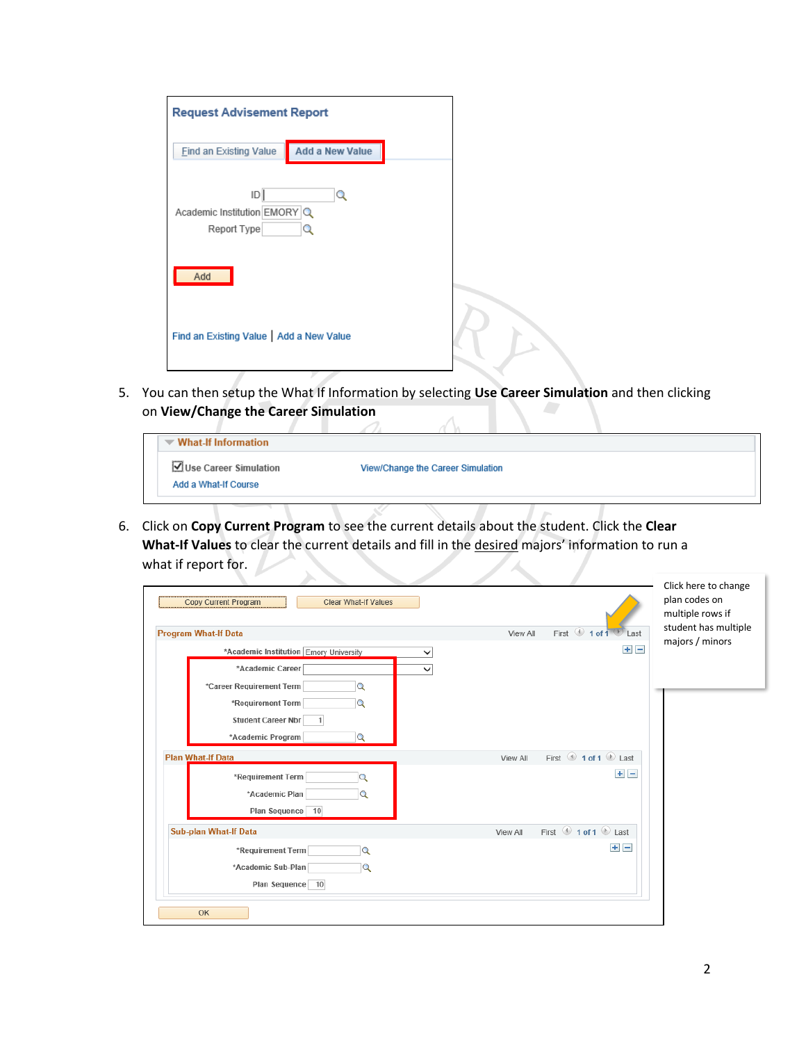| <b>Request Advisement Report</b>                  |                        |  |
|---------------------------------------------------|------------------------|--|
| <b>Find an Existing Value</b>                     | <b>Add a New Value</b> |  |
| D <br>Academic Institution EMORY Q<br>Report Type | O<br>∍                 |  |
| Add                                               |                        |  |
| Find an Existing Value   Add a New Value          |                        |  |

5. You can then setup the What If Information by selecting **Use Career Simulation** and then clicking on **View/Change the Career Simulation**  $\overline{\wedge}$ 

| $\blacktriangledown$ What-If Information      |                                   |  |  |
|-----------------------------------------------|-----------------------------------|--|--|
| Use Career Simulation<br>Add a What-If Course | View/Change the Career Simulation |  |  |

6. Click on **Copy Current Program** to see the current details about the student. Click the **Clear What-If Values** to clear the current details and fill in the desired majors' information to run a what if report for.  $\Delta$ 

| <b>Copy Current Program</b><br><b>Clear What-If Values</b> | Click here to change<br>plan codes on<br>multiple rows if                               |  |
|------------------------------------------------------------|-----------------------------------------------------------------------------------------|--|
| <b>Program What-If Data</b>                                | student has multiple<br>First $\bigcirc$ 1 of 1<br>View All<br>l ast<br>majors / minors |  |
| *Academic Institution Emory University<br>$\check{ }$      | $+$ $-$                                                                                 |  |
| *Academic Career<br>$\checkmark$                           |                                                                                         |  |
| *Career Requirement Term<br>Q                              |                                                                                         |  |
| *Requirement Term<br>Q                                     |                                                                                         |  |
| <b>Student Career Nbr</b>                                  |                                                                                         |  |
| *Academic Program<br>Q                                     |                                                                                         |  |
| <b>Plan What-If Data</b>                                   | First 1 of 1 D Last<br>View All                                                         |  |
| *Requirement Term<br>$\alpha$                              | $+$ $-$                                                                                 |  |
| *Academic Plan<br>Q                                        |                                                                                         |  |
| Plan Sequence 10                                           |                                                                                         |  |
| <b>Sub-plan What-If Data</b>                               | First <sup>1</sup> 1 of 1 2 Last<br>View All                                            |  |
| *Requirement Term<br>$\overline{\mathsf{Q}}$               | $+$ $-$                                                                                 |  |
| *Academic Sub-Plan<br>Q                                    |                                                                                         |  |
| Plan Sequence 10                                           |                                                                                         |  |
| OK                                                         |                                                                                         |  |